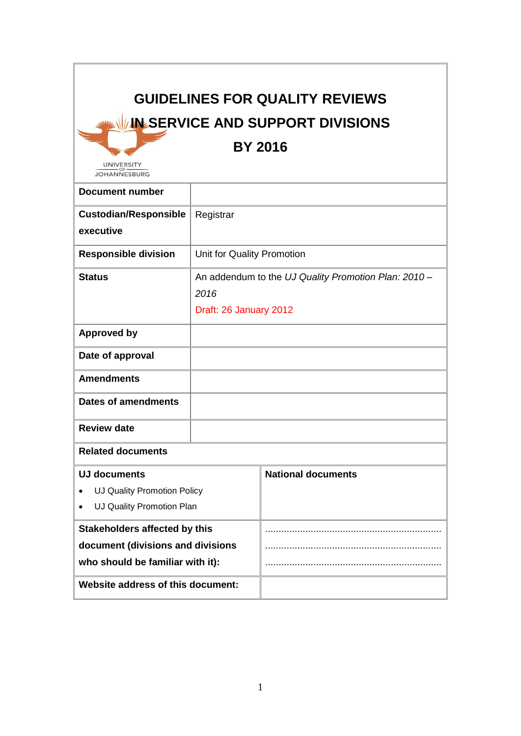# **GUIDELINES FOR QUALITY REVIEWS IN SERVICE AND SUPPORT DIVISIONS**

**BY 2016**

UNIVERSITY

| JOHANNESBURG                              |                                                      |                           |  |  |
|-------------------------------------------|------------------------------------------------------|---------------------------|--|--|
| <b>Document number</b>                    |                                                      |                           |  |  |
| <b>Custodian/Responsible</b><br>executive | Registrar                                            |                           |  |  |
|                                           |                                                      |                           |  |  |
| <b>Responsible division</b>               | Unit for Quality Promotion                           |                           |  |  |
| <b>Status</b>                             | An addendum to the UJ Quality Promotion Plan: 2010 - |                           |  |  |
|                                           | 2016                                                 |                           |  |  |
|                                           | Draft: 26 January 2012                               |                           |  |  |
| <b>Approved by</b>                        |                                                      |                           |  |  |
| Date of approval                          |                                                      |                           |  |  |
| <b>Amendments</b>                         |                                                      |                           |  |  |
| <b>Dates of amendments</b>                |                                                      |                           |  |  |
| <b>Review date</b>                        |                                                      |                           |  |  |
| <b>Related documents</b>                  |                                                      |                           |  |  |
| <b>UJ documents</b>                       |                                                      | <b>National documents</b> |  |  |
| UJ Quality Promotion Policy               |                                                      |                           |  |  |
| UJ Quality Promotion Plan<br>$\bullet$    |                                                      |                           |  |  |
| <b>Stakeholders affected by this</b>      |                                                      |                           |  |  |
| document (divisions and divisions         |                                                      |                           |  |  |
| who should be familiar with it):          |                                                      |                           |  |  |
| Website address of this document:         |                                                      |                           |  |  |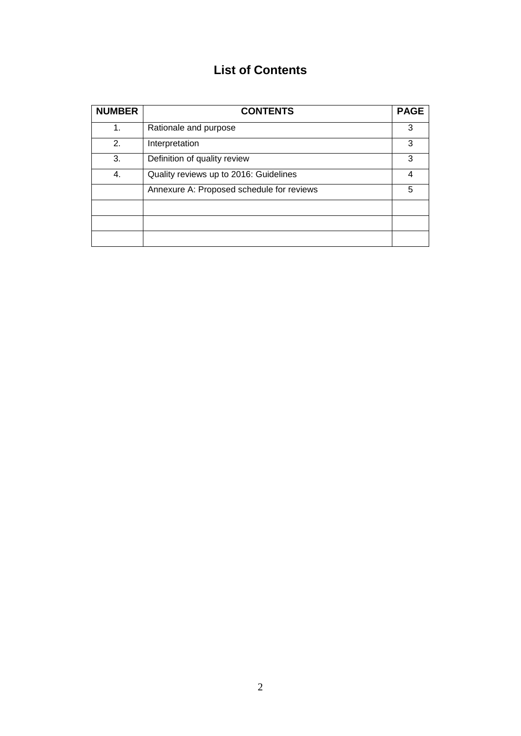# **List of Contents**

| <b>NUMBER</b> | <b>CONTENTS</b>                           | <b>PAGE</b> |
|---------------|-------------------------------------------|-------------|
| 1.            | Rationale and purpose                     | 3           |
| 2.            | Interpretation                            | 3           |
| 3.            | Definition of quality review              | 3           |
| 4.            | Quality reviews up to 2016: Guidelines    | 4           |
|               | Annexure A: Proposed schedule for reviews | 5           |
|               |                                           |             |
|               |                                           |             |
|               |                                           |             |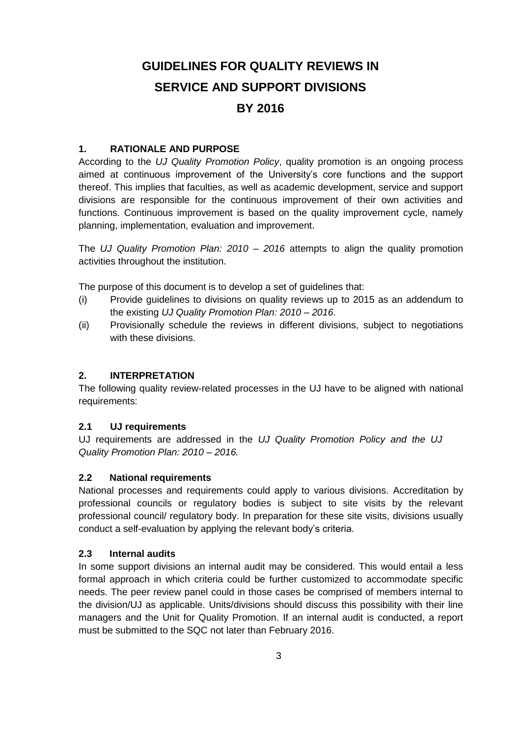# **GUIDELINES FOR QUALITY REVIEWS IN SERVICE AND SUPPORT DIVISIONS BY 2016**

#### **1. RATIONALE AND PURPOSE**

According to the *UJ Quality Promotion Policy*, quality promotion is an ongoing process aimed at continuous improvement of the University's core functions and the support thereof. This implies that faculties, as well as academic development, service and support divisions are responsible for the continuous improvement of their own activities and functions. Continuous improvement is based on the quality improvement cycle, namely planning, implementation, evaluation and improvement.

The *UJ Quality Promotion Plan: 2010 – 2016* attempts to align the quality promotion activities throughout the institution.

The purpose of this document is to develop a set of guidelines that:

- (i) Provide guidelines to divisions on quality reviews up to 2015 as an addendum to the existing *UJ Quality Promotion Plan: 2010 – 2016*.
- (ii) Provisionally schedule the reviews in different divisions, subject to negotiations with these divisions.

#### **2. INTERPRETATION**

The following quality review-related processes in the UJ have to be aligned with national requirements:

#### **2.1 UJ requirements**

UJ requirements are addressed in the *UJ Quality Promotion Policy and the UJ Quality Promotion Plan: 2010 – 2016.*

#### **2.2 National requirements**

National processes and requirements could apply to various divisions. Accreditation by professional councils or regulatory bodies is subject to site visits by the relevant professional council/ regulatory body. In preparation for these site visits, divisions usually conduct a self-evaluation by applying the relevant body's criteria.

#### **2.3 Internal audits**

In some support divisions an internal audit may be considered. This would entail a less formal approach in which criteria could be further customized to accommodate specific needs. The peer review panel could in those cases be comprised of members internal to the division/UJ as applicable. Units/divisions should discuss this possibility with their line managers and the Unit for Quality Promotion. If an internal audit is conducted, a report must be submitted to the SQC not later than February 2016.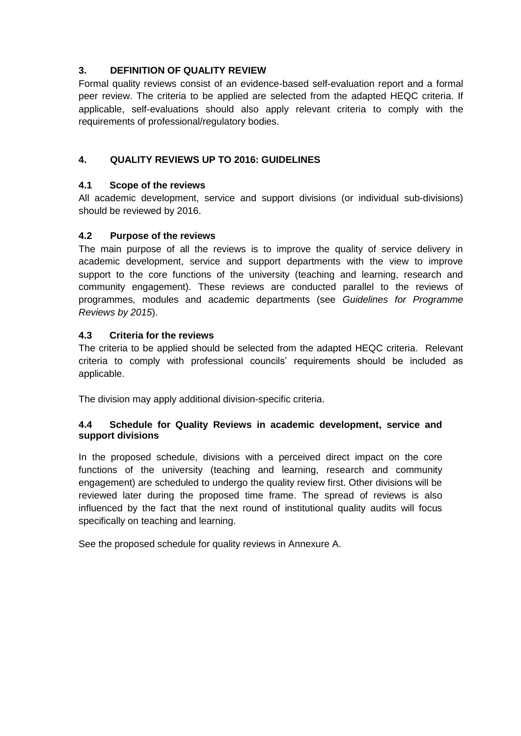# **3. DEFINITION OF QUALITY REVIEW**

Formal quality reviews consist of an evidence-based self-evaluation report and a formal peer review. The criteria to be applied are selected from the adapted HEQC criteria. If applicable, self-evaluations should also apply relevant criteria to comply with the requirements of professional/regulatory bodies.

# **4. QUALITY REVIEWS UP TO 2016: GUIDELINES**

## **4.1 Scope of the reviews**

All academic development, service and support divisions (or individual sub-divisions) should be reviewed by 2016.

## **4.2 Purpose of the reviews**

The main purpose of all the reviews is to improve the quality of service delivery in academic development, service and support departments with the view to improve support to the core functions of the university (teaching and learning, research and community engagement). These reviews are conducted parallel to the reviews of programmes, modules and academic departments (see *Guidelines for Programme Reviews by 2015*).

#### **4.3 Criteria for the reviews**

The criteria to be applied should be selected from the adapted HEQC criteria. Relevant criteria to comply with professional councils' requirements should be included as applicable.

The division may apply additional division-specific criteria.

#### **4.4 Schedule for Quality Reviews in academic development, service and support divisions**

In the proposed schedule, divisions with a perceived direct impact on the core functions of the university (teaching and learning, research and community engagement) are scheduled to undergo the quality review first. Other divisions will be reviewed later during the proposed time frame. The spread of reviews is also influenced by the fact that the next round of institutional quality audits will focus specifically on teaching and learning.

See the proposed schedule for quality reviews in Annexure A.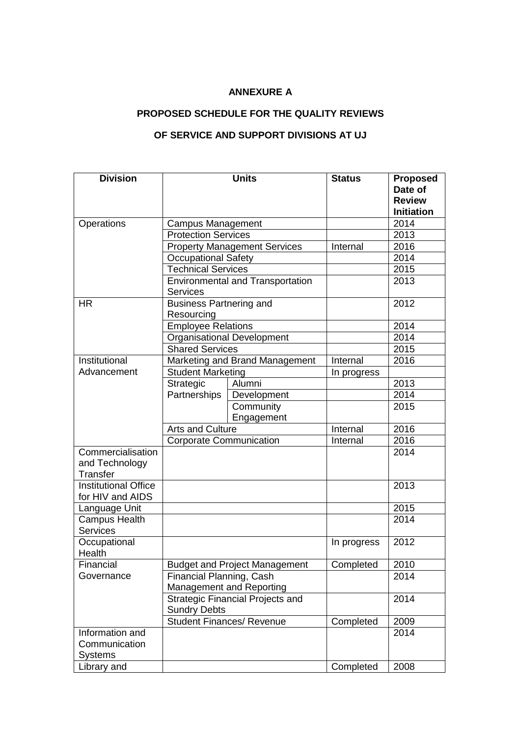# **ANNEXURE A**

# **PROPOSED SCHEDULE FOR THE QUALITY REVIEWS**

# **OF SERVICE AND SUPPORT DIVISIONS AT UJ**

| <b>Division</b>             |                                         | <b>Units</b>                        | <b>Status</b> | <b>Proposed</b>   |
|-----------------------------|-----------------------------------------|-------------------------------------|---------------|-------------------|
|                             |                                         |                                     |               | Date of           |
|                             |                                         |                                     |               | <b>Review</b>     |
|                             |                                         |                                     |               | <b>Initiation</b> |
| Operations                  | <b>Campus Management</b>                |                                     |               | 2014              |
|                             | <b>Protection Services</b>              |                                     |               | 2013              |
|                             |                                         | <b>Property Management Services</b> | Internal      | 2016              |
|                             | <b>Occupational Safety</b>              |                                     |               | 2014              |
|                             | <b>Technical Services</b>               |                                     |               | 2015              |
|                             | <b>Environmental and Transportation</b> |                                     |               | 2013              |
|                             | <b>Services</b>                         |                                     |               |                   |
| <b>HR</b>                   | <b>Business Partnering and</b>          |                                     |               | 2012              |
|                             | Resourcing                              |                                     |               |                   |
|                             | <b>Employee Relations</b>               |                                     |               | 2014              |
|                             |                                         | <b>Organisational Development</b>   |               | 2014              |
|                             | <b>Shared Services</b>                  |                                     |               | 2015              |
| Institutional               |                                         | Marketing and Brand Management      | Internal      | 2016              |
| Advancement                 | <b>Student Marketing</b>                |                                     | In progress   |                   |
|                             | Strategic                               | Alumni                              |               | 2013              |
|                             | Partnerships                            | Development                         |               | 2014              |
|                             |                                         | Community                           |               | 2015              |
|                             |                                         | Engagement                          |               |                   |
|                             |                                         | Arts and Culture                    |               | 2016              |
|                             | Corporate Communication                 |                                     | Internal      | 2016              |
| Commercialisation           |                                         |                                     |               | 2014              |
| and Technology              |                                         |                                     |               |                   |
| <b>Transfer</b>             |                                         |                                     |               |                   |
| <b>Institutional Office</b> |                                         |                                     |               | 2013              |
| for HIV and AIDS            |                                         |                                     |               |                   |
| Language Unit               |                                         |                                     |               | 2015              |
| <b>Campus Health</b>        |                                         |                                     |               | 2014              |
| <b>Services</b>             |                                         |                                     |               |                   |
| Occupational                |                                         |                                     | In progress   | 2012              |
| Health                      |                                         |                                     |               |                   |
| Financial                   | <b>Budget and Project Management</b>    |                                     | Completed     | 2010              |
| Governance                  | Financial Planning, Cash                |                                     |               | 2014              |
|                             | <b>Management and Reporting</b>         |                                     |               |                   |
|                             | <b>Strategic Financial Projects and</b> |                                     |               | 2014              |
|                             | <b>Sundry Debts</b>                     |                                     |               |                   |
|                             | <b>Student Finances/ Revenue</b>        |                                     | Completed     | 2009              |
| Information and             |                                         |                                     |               | 2014              |
| Communication               |                                         |                                     |               |                   |
| <b>Systems</b>              |                                         |                                     |               |                   |
| Library and                 |                                         |                                     | Completed     | 2008              |